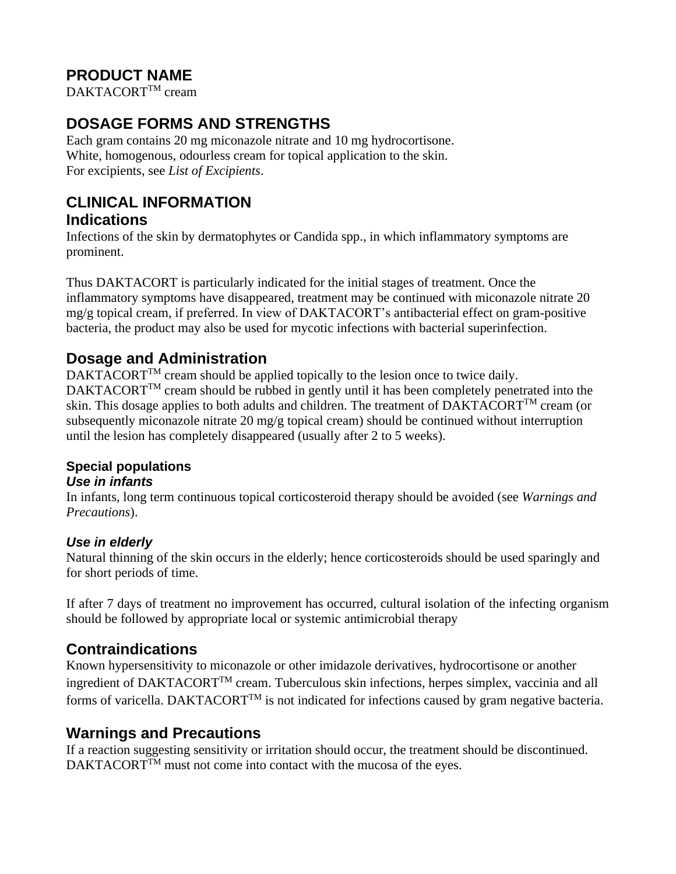# **PRODUCT NAME**

DAKTACORT<sup>TM</sup> cream

# **DOSAGE FORMS AND STRENGTHS**

Each gram contains 20 mg miconazole nitrate and 10 mg hydrocortisone. White, homogenous, odourless cream for topical application to the skin. For excipients, see *List of Excipients*.

#### **CLINICAL INFORMATION Indications**

Infections of the skin by dermatophytes or Candida spp., in which inflammatory symptoms are prominent.

Thus DAKTACORT is particularly indicated for the initial stages of treatment. Once the inflammatory symptoms have disappeared, treatment may be continued with miconazole nitrate 20 mg/g topical cream, if preferred. In view of DAKTACORT's antibacterial effect on gram-positive bacteria, the product may also be used for mycotic infections with bacterial superinfection.

# **Dosage and Administration**

DAKTACORT<sup>TM</sup> cream should be applied topically to the lesion once to twice daily.  $DAKTACORT<sup>TM</sup>$  cream should be rubbed in gently until it has been completely penetrated into the skin. This dosage applies to both adults and children. The treatment of DAKTACORT<sup>TM</sup> cream (or subsequently miconazole nitrate 20 mg/g topical cream) should be continued without interruption until the lesion has completely disappeared (usually after 2 to 5 weeks).

# **Special populations**

#### *Use in infants*

In infants, long term continuous topical corticosteroid therapy should be avoided (see *Warnings and Precautions*).

#### *Use in elderly*

Natural thinning of the skin occurs in the elderly; hence corticosteroids should be used sparingly and for short periods of time.

If after 7 days of treatment no improvement has occurred, cultural isolation of the infecting organism should be followed by appropriate local or systemic antimicrobial therapy

### **Contraindications**

Known hypersensitivity to miconazole or other imidazole derivatives, hydrocortisone or another ingredient of DAKTACORT<sup>TM</sup> cream. Tuberculous skin infections, herpes simplex, vaccinia and all forms of varicella. DAKTACORT<sup>TM</sup> is not indicated for infections caused by gram negative bacteria.

### **Warnings and Precautions**

If a reaction suggesting sensitivity or irritation should occur, the treatment should be discontinued.  $DAKTACORT<sup>TM</sup>$  must not come into contact with the mucosa of the eyes.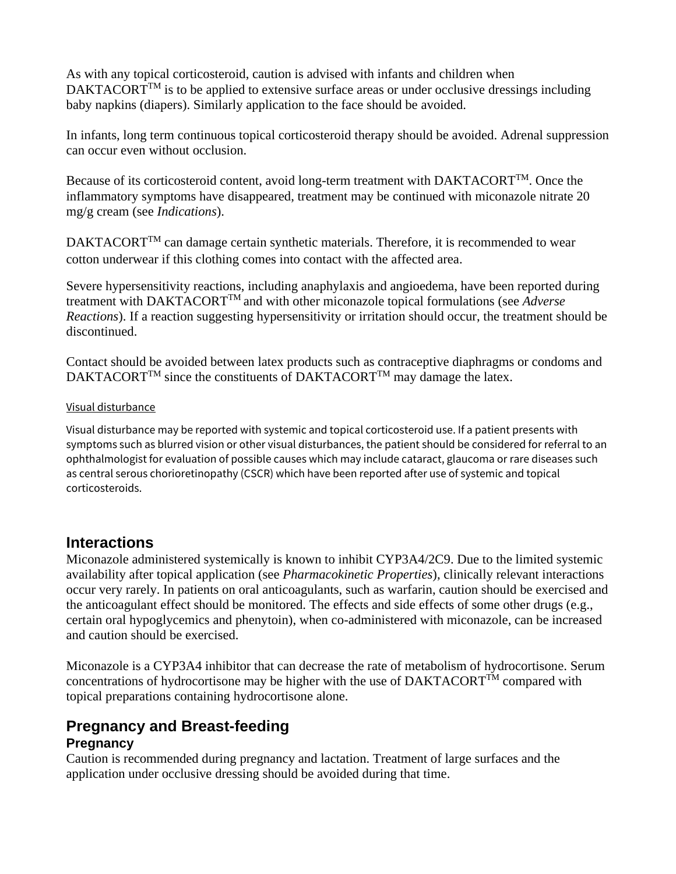As with any topical corticosteroid, caution is advised with infants and children when  $DAKTACORT<sup>TM</sup>$  is to be applied to extensive surface areas or under occlusive dressings including baby napkins (diapers). Similarly application to the face should be avoided.

In infants, long term continuous topical corticosteroid therapy should be avoided. Adrenal suppression can occur even without occlusion.

Because of its corticosteroid content, avoid long-term treatment with DAKTACORT<sup>TM</sup>. Once the inflammatory symptoms have disappeared, treatment may be continued with miconazole nitrate 20 mg/g cream (see *Indications*).

DAKTACORT<sup>TM</sup> can damage certain synthetic materials. Therefore, it is recommended to wear cotton underwear if this clothing comes into contact with the affected area.

Severe hypersensitivity reactions, including anaphylaxis and angioedema, have been reported during treatment with DAKTACORTTM and with other miconazole topical formulations (see *Adverse Reactions*). If a reaction suggesting hypersensitivity or irritation should occur, the treatment should be discontinued.

Contact should be avoided between latex products such as contraceptive diaphragms or condoms and  $DAKTACORT^{TM}$  since the constituents of  $DAKTACORT^{TM}$  may damage the latex.

#### Visual disturbance

Visual disturbance may be reported with systemic and topical corticosteroid use. If a patient presents with symptoms such as blurred vision or other visual disturbances, the patient should be considered for referral to an ophthalmologist for evaluation of possible causes which may include cataract, glaucoma or rare diseases such as central serous chorioretinopathy (CSCR) which have been reported after use of systemic and topical corticosteroids.

### **Interactions**

Miconazole administered systemically is known to inhibit CYP3A4/2C9. Due to the limited systemic availability after topical application (see *Pharmacokinetic Properties*), clinically relevant interactions occur very rarely. In patients on oral anticoagulants, such as warfarin, caution should be exercised and the anticoagulant effect should be monitored. The effects and side effects of some other drugs (e.g., certain oral hypoglycemics and phenytoin), when co-administered with miconazole, can be increased and caution should be exercised.

Miconazole is a CYP3A4 inhibitor that can decrease the rate of metabolism of hydrocortisone. Serum concentrations of hydrocortisone may be higher with the use of  $DAKTACORT^{TM}$  compared with topical preparations containing hydrocortisone alone.

### **Pregnancy and Breast-feeding Pregnancy**

Caution is recommended during pregnancy and lactation. Treatment of large surfaces and the application under occlusive dressing should be avoided during that time.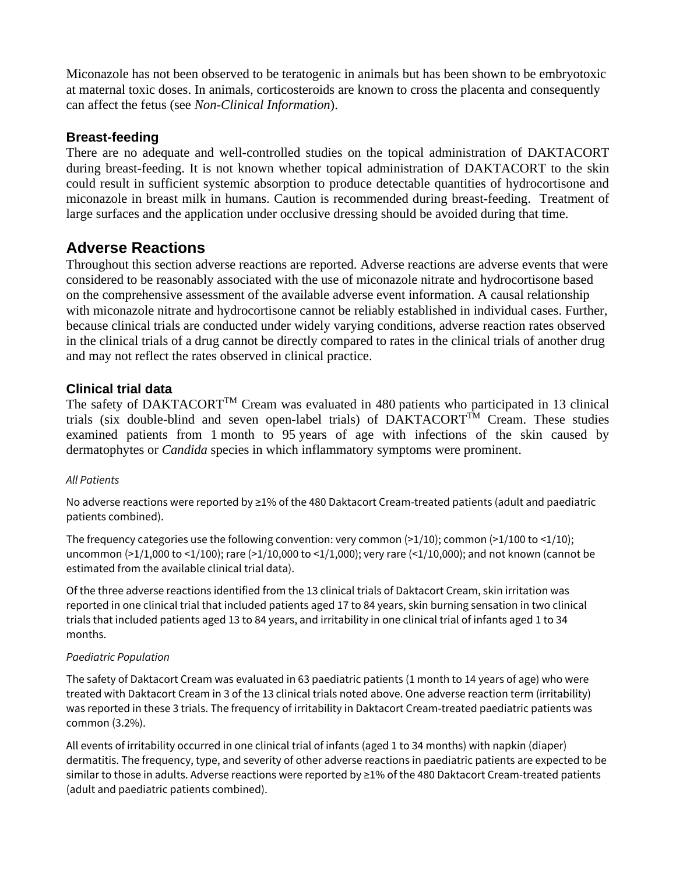Miconazole has not been observed to be teratogenic in animals but has been shown to be embryotoxic at maternal toxic doses. In animals, corticosteroids are known to cross the placenta and consequently can affect the fetus (see *Non-Clinical Information*).

#### **Breast-feeding**

There are no adequate and well-controlled studies on the topical administration of DAKTACORT during breast-feeding. It is not known whether topical administration of DAKTACORT to the skin could result in sufficient systemic absorption to produce detectable quantities of hydrocortisone and miconazole in breast milk in humans. Caution is recommended during breast-feeding. Treatment of large surfaces and the application under occlusive dressing should be avoided during that time.

# **Adverse Reactions**

Throughout this section adverse reactions are reported. Adverse reactions are adverse events that were considered to be reasonably associated with the use of miconazole nitrate and hydrocortisone based on the comprehensive assessment of the available adverse event information. A causal relationship with miconazole nitrate and hydrocortisone cannot be reliably established in individual cases. Further, because clinical trials are conducted under widely varying conditions, adverse reaction rates observed in the clinical trials of a drug cannot be directly compared to rates in the clinical trials of another drug and may not reflect the rates observed in clinical practice.

#### **Clinical trial data**

The safety of DAKTACORT<sup>TM</sup> Cream was evaluated in 480 patients who participated in 13 clinical trials (six double-blind and seven open-label trials) of  $\tilde{DAKTACORT}^{\tilde{M}}$  Cream. These studies examined patients from 1 month to 95 years of age with infections of the skin caused by dermatophytes or *Candida* species in which inflammatory symptoms were prominent.

#### *All Patients*

No adverse reactions were reported by ≥1% of the 480 Daktacort Cream-treated patients (adult and paediatric patients combined).

The frequency categories use the following convention: very common  $(>1/10)$ ; common  $(>1/100$  to  $<1/10)$ ; uncommon (>1/1,000 to <1/100); rare (>1/10,000 to <1/1,000); very rare (<1/10,000); and not known (cannot be estimated from the available clinical trial data).

Of the three adverse reactions identified from the 13 clinical trials of Daktacort Cream, skin irritation was reported in one clinical trial that included patients aged 17 to 84 years, skin burning sensation in two clinical trials that included patients aged 13 to 84 years, and irritability in one clinical trial of infants aged 1 to 34 months.

#### *Paediatric Population*

The safety of Daktacort Cream was evaluated in 63 paediatric patients (1 month to 14 years of age) who were treated with Daktacort Cream in 3 of the 13 clinical trials noted above. One adverse reaction term (irritability) was reported in these 3 trials. The frequency of irritability in Daktacort Cream-treated paediatric patients was common (3.2%).

All events of irritability occurred in one clinical trial of infants (aged 1 to 34 months) with napkin (diaper) dermatitis. The frequency, type, and severity of other adverse reactions in paediatric patients are expected to be similar to those in adults. Adverse reactions were reported by ≥1% of the 480 Daktacort Cream-treated patients (adult and paediatric patients combined).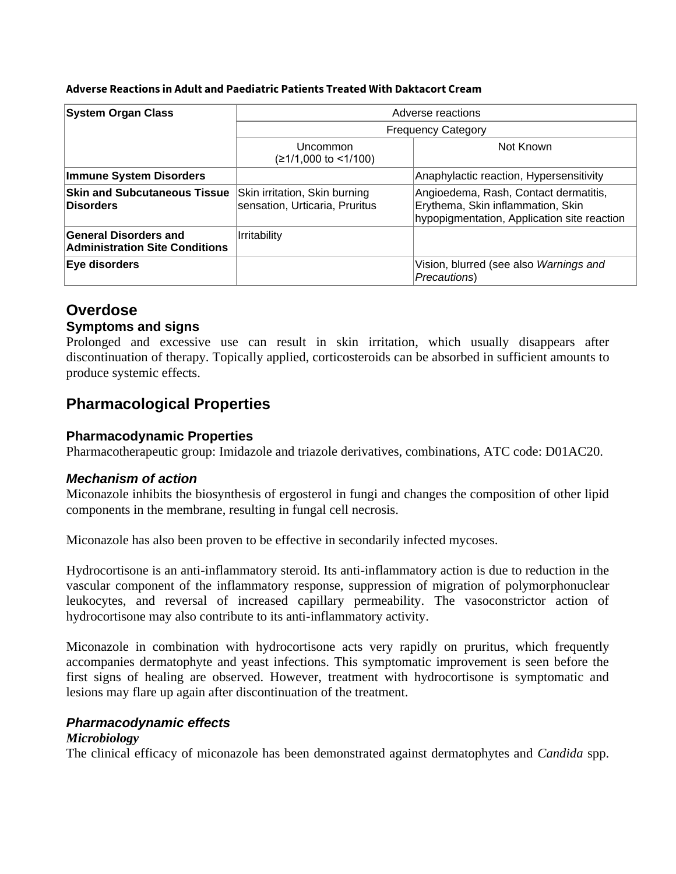#### **Adverse Reactions in Adult and Paediatric Patients Treated With Daktacort Cream**

| <b>System Organ Class</b>                                      | Adverse reactions                                               |                                                                                                                           |
|----------------------------------------------------------------|-----------------------------------------------------------------|---------------------------------------------------------------------------------------------------------------------------|
|                                                                | <b>Frequency Category</b>                                       |                                                                                                                           |
|                                                                | Uncommon<br>$(≥1/1,000$ to <1/100)                              | Not Known                                                                                                                 |
| <b>Immune System Disorders</b>                                 |                                                                 | Anaphylactic reaction, Hypersensitivity                                                                                   |
| <b>Skin and Subcutaneous Tissue</b><br>Disorders               | Skin irritation, Skin burning<br>sensation, Urticaria, Pruritus | Angioedema, Rash, Contact dermatitis,<br>Erythema, Skin inflammation, Skin<br>hypopigmentation, Application site reaction |
| General Disorders and<br><b>Administration Site Conditions</b> | Irritability                                                    |                                                                                                                           |
| Eye disorders                                                  |                                                                 | Vision, blurred (see also Warnings and<br>Precautions)                                                                    |

# **Overdose**

#### **Symptoms and signs**

Prolonged and excessive use can result in skin irritation, which usually disappears after discontinuation of therapy. Topically applied, corticosteroids can be absorbed in sufficient amounts to produce systemic effects.

### **Pharmacological Properties**

#### **Pharmacodynamic Properties**

Pharmacotherapeutic group: Imidazole and triazole derivatives, combinations, ATC code: D01AC20.

#### *Mechanism of action*

Miconazole inhibits the biosynthesis of ergosterol in fungi and changes the composition of other lipid components in the membrane, resulting in fungal cell necrosis.

Miconazole has also been proven to be effective in secondarily infected mycoses.

Hydrocortisone is an anti-inflammatory steroid. Its anti-inflammatory action is due to reduction in the vascular component of the inflammatory response, suppression of migration of polymorphonuclear leukocytes, and reversal of increased capillary permeability. The vasoconstrictor action of hydrocortisone may also contribute to its anti-inflammatory activity.

Miconazole in combination with hydrocortisone acts very rapidly on pruritus, which frequently accompanies dermatophyte and yeast infections. This symptomatic improvement is seen before the first signs of healing are observed. However, treatment with hydrocortisone is symptomatic and lesions may flare up again after discontinuation of the treatment.

#### *Pharmacodynamic effects*

#### *Microbiology*

The clinical efficacy of miconazole has been demonstrated against dermatophytes and *Candida* spp.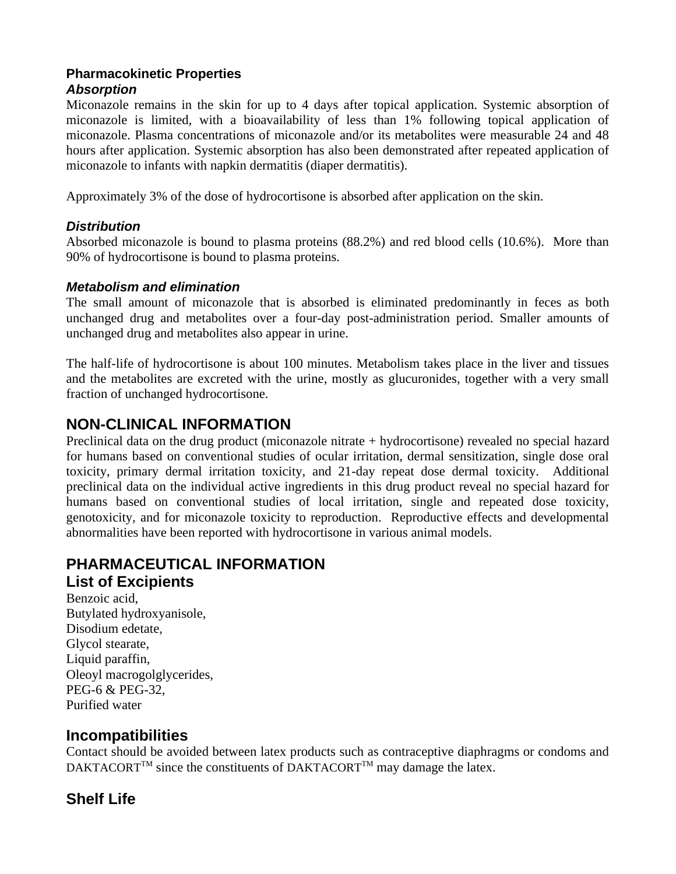#### **Pharmacokinetic Properties** *Absorption*

Miconazole remains in the skin for up to 4 days after topical application. Systemic absorption of miconazole is limited, with a bioavailability of less than 1% following topical application of miconazole. Plasma concentrations of miconazole and/or its metabolites were measurable 24 and 48 hours after application. Systemic absorption has also been demonstrated after repeated application of miconazole to infants with napkin dermatitis (diaper dermatitis).

Approximately 3% of the dose of hydrocortisone is absorbed after application on the skin.

#### *Distribution*

Absorbed miconazole is bound to plasma proteins (88.2%) and red blood cells (10.6%). More than 90% of hydrocortisone is bound to plasma proteins.

#### *Metabolism and elimination*

The small amount of miconazole that is absorbed is eliminated predominantly in feces as both unchanged drug and metabolites over a four-day post-administration period. Smaller amounts of unchanged drug and metabolites also appear in urine.

The half-life of hydrocortisone is about 100 minutes. Metabolism takes place in the liver and tissues and the metabolites are excreted with the urine, mostly as glucuronides, together with a very small fraction of unchanged hydrocortisone.

### **NON-CLINICAL INFORMATION**

Preclinical data on the drug product (miconazole nitrate + hydrocortisone) revealed no special hazard for humans based on conventional studies of ocular irritation, dermal sensitization, single dose oral toxicity, primary dermal irritation toxicity, and 21-day repeat dose dermal toxicity. Additional preclinical data on the individual active ingredients in this drug product reveal no special hazard for humans based on conventional studies of local irritation, single and repeated dose toxicity, genotoxicity, and for miconazole toxicity to reproduction. Reproductive effects and developmental abnormalities have been reported with hydrocortisone in various animal models.

# **PHARMACEUTICAL INFORMATION**

### **List of Excipients**

Benzoic acid, Butylated hydroxyanisole, Disodium edetate, Glycol stearate, Liquid paraffin, Oleoyl macrogolglycerides, PEG-6 & PEG-32, Purified water

### **Incompatibilities**

Contact should be avoided between latex products such as contraceptive diaphragms or condoms and  $DAKTACORT<sup>TM</sup>$  since the constituents of  $DAKTACORT<sup>TM</sup>$  may damage the latex.

### **Shelf Life**